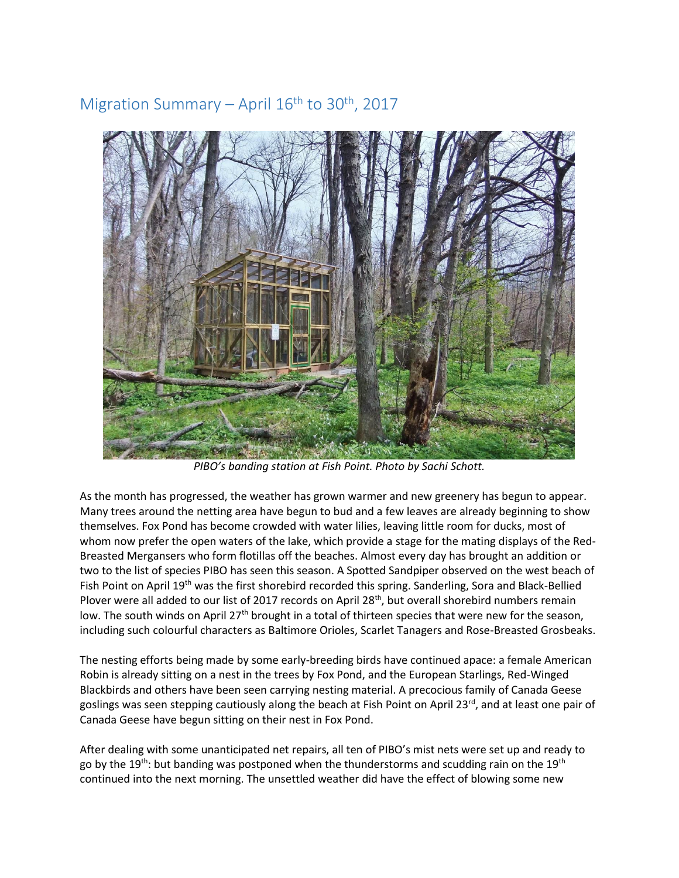## Migration Summary – April 16<sup>th</sup> to 30<sup>th</sup>, 2017



*PIBO's banding station at Fish Point. Photo by Sachi Schott.* 

As the month has progressed, the weather has grown warmer and new greenery has begun to appear. Many trees around the netting area have begun to bud and a few leaves are already beginning to show themselves. Fox Pond has become crowded with water lilies, leaving little room for ducks, most of whom now prefer the open waters of the lake, which provide a stage for the mating displays of the Red-Breasted Mergansers who form flotillas off the beaches. Almost every day has brought an addition or two to the list of species PIBO has seen this season. A Spotted Sandpiper observed on the west beach of Fish Point on April 19<sup>th</sup> was the first shorebird recorded this spring. Sanderling, Sora and Black-Bellied Plover were all added to our list of 2017 records on April 28<sup>th</sup>, but overall shorebird numbers remain low. The south winds on April 27<sup>th</sup> brought in a total of thirteen species that were new for the season, including such colourful characters as Baltimore Orioles, Scarlet Tanagers and Rose-Breasted Grosbeaks.

The nesting efforts being made by some early-breeding birds have continued apace: a female American Robin is already sitting on a nest in the trees by Fox Pond, and the European Starlings, Red-Winged Blackbirds and others have been seen carrying nesting material. A precocious family of Canada Geese goslings was seen stepping cautiously along the beach at Fish Point on April 23<sup>rd</sup>, and at least one pair of Canada Geese have begun sitting on their nest in Fox Pond.

After dealing with some unanticipated net repairs, all ten of PIBO's mist nets were set up and ready to go by the 19<sup>th</sup>: but banding was postponed when the thunderstorms and scudding rain on the 19<sup>th</sup> continued into the next morning. The unsettled weather did have the effect of blowing some new